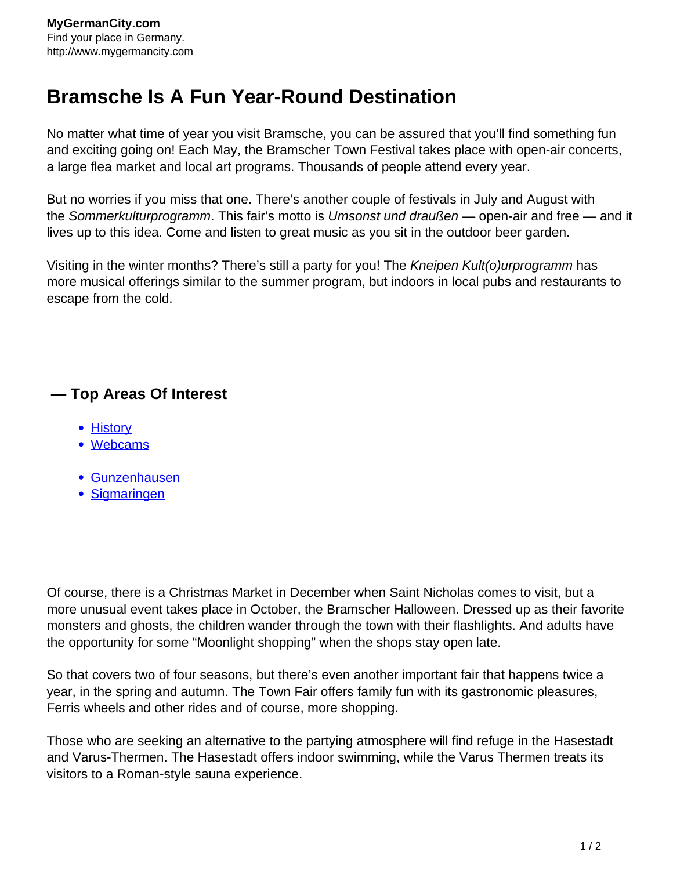## **Bramsche Is A Fun Year-Round Destination**

No matter what time of year you visit Bramsche, you can be assured that you'll find something fun and exciting going on! Each May, the Bramscher Town Festival takes place with open-air concerts, a large flea market and local art programs. Thousands of people attend every year.

But no worries if you miss that one. There's another couple of festivals in July and August with the Sommerkulturprogramm. This fair's motto is Umsonst und draußen — open-air and free — and it lives up to this idea. Come and listen to great music as you sit in the outdoor beer garden.

Visiting in the winter months? There's still a party for you! The Kneipen Kult(o)urprogramm has more musical offerings similar to the summer program, but indoors in local pubs and restaurants to escape from the cold.

## **— Top Areas Of Interest**

- [History](http://www.mygermancity.com/leipzig-history)
- [Webcams](http://www.mygermancity.com/neustadt-holstein-webcams)
- [Gunzenhausen](http://www.mygermancity.com/gunzenhausen)
- [Sigmaringen](http://www.mygermancity.com/sigmaringen)

Of course, there is a Christmas Market in December when Saint Nicholas comes to visit, but a more unusual event takes place in October, the Bramscher Halloween. Dressed up as their favorite monsters and ghosts, the children wander through the town with their flashlights. And adults have the opportunity for some "Moonlight shopping" when the shops stay open late.

So that covers two of four seasons, but there's even another important fair that happens twice a year, in the spring and autumn. The Town Fair offers family fun with its gastronomic pleasures, Ferris wheels and other rides and of course, more shopping.

Those who are seeking an alternative to the partying atmosphere will find refuge in the Hasestadt and Varus-Thermen. The Hasestadt offers indoor swimming, while the Varus Thermen treats its visitors to a Roman-style sauna experience.